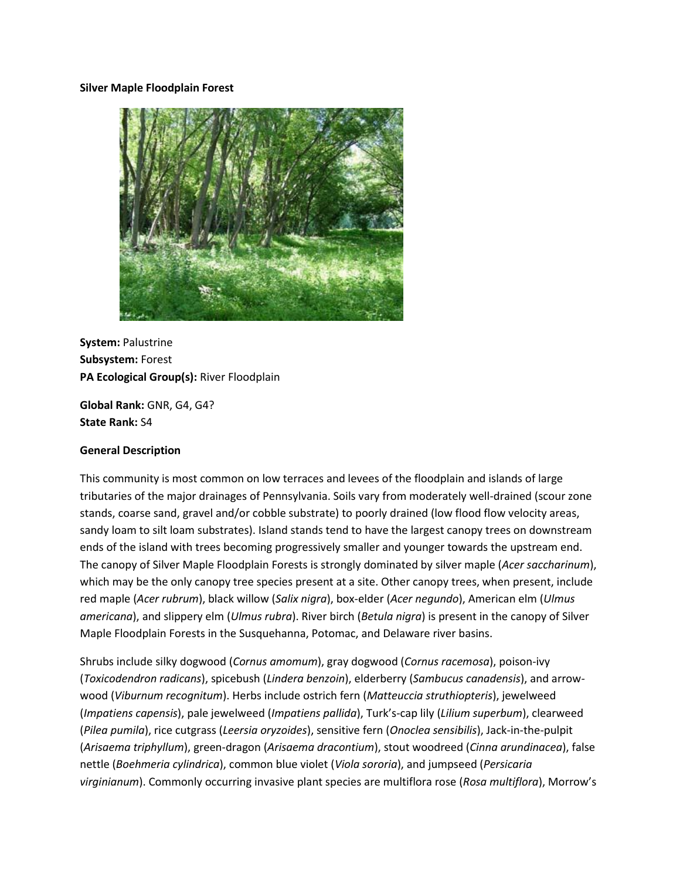#### **Silver Maple Floodplain Forest**



**System:** Palustrine **Subsystem:** Forest **PA Ecological Group(s):** River Floodplain

**Global Rank:** GNR, G4, G4? **State Rank:** S4

#### **General Description**

This community is most common on low terraces and levees of the floodplain and islands of large tributaries of the major drainages of Pennsylvania. Soils vary from moderately well-drained (scour zone stands, coarse sand, gravel and/or cobble substrate) to poorly drained (low flood flow velocity areas, sandy loam to silt loam substrates). Island stands tend to have the largest canopy trees on downstream ends of the island with trees becoming progressively smaller and younger towards the upstream end. The canopy of Silver Maple Floodplain Forests is strongly dominated by silver maple (*Acer saccharinum*), which may be the only canopy tree species present at a site. Other canopy trees, when present, include red maple (*Acer rubrum*), black willow (*Salix nigra*), box-elder (*Acer negundo*), American elm (*Ulmus americana*), and slippery elm (*Ulmus rubra*). River birch (*Betula nigra*) is present in the canopy of Silver Maple Floodplain Forests in the Susquehanna, Potomac, and Delaware river basins.

Shrubs include silky dogwood (*Cornus amomum*), gray dogwood (*Cornus racemosa*), poison-ivy (*Toxicodendron radicans*), spicebush (*Lindera benzoin*), elderberry (*Sambucus canadensis*), and arrowwood (*Viburnum recognitum*). Herbs include ostrich fern (*Matteuccia struthiopteris*), jewelweed (*Impatiens capensis*), pale jewelweed (*Impatiens pallida*), Turk's-cap lily (*Lilium superbum*), clearweed (*Pilea pumila*), rice cutgrass (*Leersia oryzoides*), sensitive fern (*Onoclea sensibilis*), Jack-in-the-pulpit (*Arisaema triphyllum*), green-dragon (*Arisaema dracontium*), stout woodreed (*Cinna arundinacea*), false nettle (*Boehmeria cylindrica*), common blue violet (*Viola sororia*), and jumpseed (*Persicaria virginianum*). Commonly occurring invasive plant species are multiflora rose (*Rosa multiflora*), Morrow's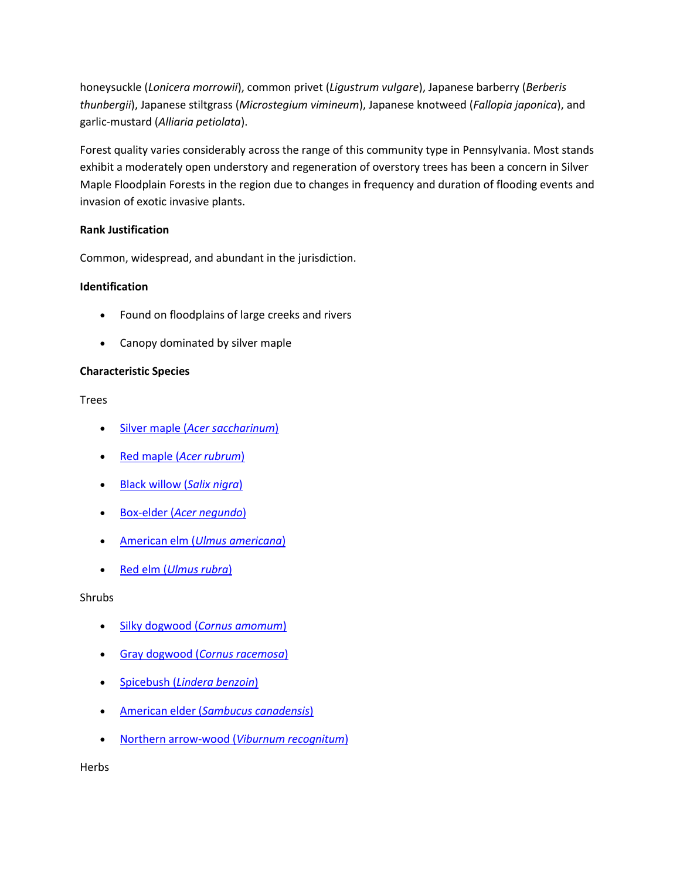honeysuckle (*Lonicera morrowii*), common privet (*Ligustrum vulgare*), Japanese barberry (*Berberis thunbergii*), Japanese stiltgrass (*Microstegium vimineum*), Japanese knotweed (*Fallopia japonica*), and garlic-mustard (*Alliaria petiolata*).

Forest quality varies considerably across the range of this community type in Pennsylvania. Most stands exhibit a moderately open understory and regeneration of overstory trees has been a concern in Silver Maple Floodplain Forests in the region due to changes in frequency and duration of flooding events and invasion of exotic invasive plants.

## **Rank Justification**

Common, widespread, and abundant in the jurisdiction.

## **Identification**

- Found on floodplains of large creeks and rivers
- Canopy dominated by silver maple

## **Characteristic Species**

Trees

- Silver maple (*[Acer saccharinum](http://www.natureserve.org/explorer/servlet/NatureServe?searchName=Acer+saccharinum)*)
- Red maple (*[Acer rubrum](http://www.natureserve.org/explorer/servlet/NatureServe?searchName=Acer+rubrum)*)
- [Black willow \(](http://www.natureserve.org/explorer/servlet/NatureServe?searchName=Salix+nigra)*Salix nigra*)
- Box-elder (*[Acer negundo](http://www.natureserve.org/explorer/servlet/NatureServe?searchName=Acer+negundo)*)
- American elm (*[Ulmus americana](http://www.natureserve.org/explorer/servlet/NatureServe?searchName=Ulmus+americana)*)
- Red elm (*[Ulmus rubra](http://www.natureserve.org/explorer/servlet/NatureServe?searchName=Ulmus+rubra)*)

## Shrubs

- Silky dogwood (*[Cornus amomum](http://www.natureserve.org/explorer/servlet/NatureServe?searchName=Cornus+amomum+ssp.+amomum)*)
- Gray dogwood (*[Cornus racemosa](http://www.natureserve.org/explorer/servlet/NatureServe?searchName=Cornus+racemosa)*)
- Spicebush (*[Lindera benzoin](http://www.natureserve.org/explorer/servlet/NatureServe?searchName=Lindera+benzoin)*)
- American elder (*[Sambucus canadensis](http://www.natureserve.org/explorer/servlet/NatureServe?searchName=Sambucus+canadensis)*)
- [Northern arrow-wood \(](http://www.natureserve.org/explorer/servlet/NatureServe?searchName=Viburnum+recognitum)*Viburnum recognitum*)

**Herbs**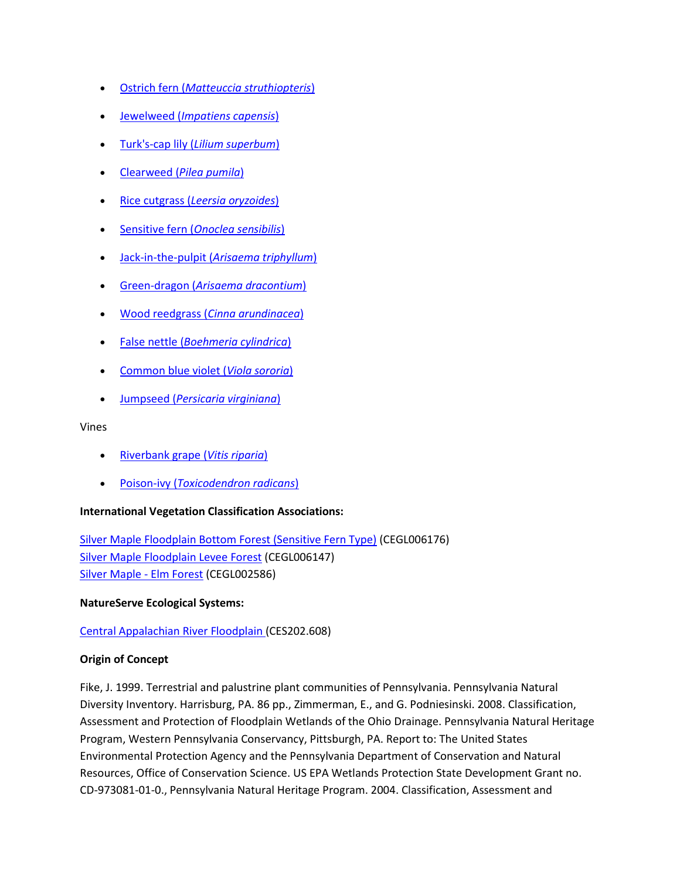- Ostrich fern (*[Matteuccia struthiopteris](http://www.natureserve.org/explorer/servlet/NatureServe?searchName=Matteuccia+struthiopteris)*)
- Jewelweed (*[Impatiens capensis](http://www.natureserve.org/explorer/servlet/NatureServe?searchName=Impatiens+capensis)*)
- Turk's-cap lily (*[Lilium superbum](http://www.natureserve.org/explorer/servlet/NatureServe?searchName=Lilium+superbum)*)
- Clearweed (*[Pilea pumila](http://www.natureserve.org/explorer/servlet/NatureServe?searchName=Pilea+pumila)*)
- Rice cutgrass (*[Leersia oryzoides](http://www.natureserve.org/explorer/servlet/NatureServe?searchName=Leersia+oryzoides)*)
- Sensitive fern (*[Onoclea sensibilis](http://www.natureserve.org/explorer/servlet/NatureServe?searchName=Onoclea+sensibilis)*)
- Jack-in-the-pulpit (*[Arisaema triphyllum](http://www.natureserve.org/explorer/servlet/NatureServe?searchName=Arisaema+triphyllum)*)
- Green-dragon (*[Arisaema dracontium](http://www.natureserve.org/explorer/servlet/NatureServe?searchName=Arisaema+dracontium)*)
- Wood reedgrass (*[Cinna arundinacea](http://www.natureserve.org/explorer/servlet/NatureServe?searchName=Cinna+arundinacea)*)
- False nettle (*[Boehmeria cylindrica](http://www.natureserve.org/explorer/servlet/NatureServe?searchName=Boehmeria+cylindrica)*)
- Common blue violet (*[Viola sororia](http://www.natureserve.org/explorer/servlet/NatureServe?searchName=Viola+sororia)*)
- Jumpseed (*[Persicaria virginiana](http://www.natureserve.org/explorer/servlet/NatureServe?searchName=Polygonum+virginianum%20)*)

#### Vines

- [Riverbank grape \(](http://www.natureserve.org/explorer/servlet/NatureServe?searchName=Vitis+riparia)*Vitis riparia*)
- Poison-ivy (*[Toxicodendron radicans](http://www.natureserve.org/explorer/servlet/NatureServe?searchName=Toxicodendron+radicans)*)

## **International Vegetation Classification Associations:**

[Silver Maple Floodplain Bottom Forest \(Sensitive Fern Type\)](http://www.natureserve.org/explorer/servlet/NatureServe?searchCommunityUid=ELEMENT_GLOBAL.2.687000) (CEGL006176) [Silver Maple Floodplain Levee Forest](http://www.natureserve.org/explorer/servlet/NatureServe?searchCommunityUid=ELEMENT_GLOBAL.2.684386) (CEGL006147) [Silver Maple -](http://www.natureserve.org/explorer/servlet/NatureServe?searchCommunityUid=ELEMENT_GLOBAL.2.686814) Elm Forest (CEGL002586)

## **NatureServe Ecological Systems:**

[Central Appalachian River Floodplain \(](http://www.natureserve.org/explorer/servlet/NatureServe?searchSystemUid=ELEMENT_GLOBAL.2.723001)CES202.608)

## **Origin of Concept**

Fike, J. 1999. Terrestrial and palustrine plant communities of Pennsylvania. Pennsylvania Natural Diversity Inventory. Harrisburg, PA. 86 pp., Zimmerman, E., and G. Podniesinski. 2008. Classification, Assessment and Protection of Floodplain Wetlands of the Ohio Drainage. Pennsylvania Natural Heritage Program, Western Pennsylvania Conservancy, Pittsburgh, PA. Report to: The United States Environmental Protection Agency and the Pennsylvania Department of Conservation and Natural Resources, Office of Conservation Science. US EPA Wetlands Protection State Development Grant no. CD-973081-01-0., Pennsylvania Natural Heritage Program. 2004. Classification, Assessment and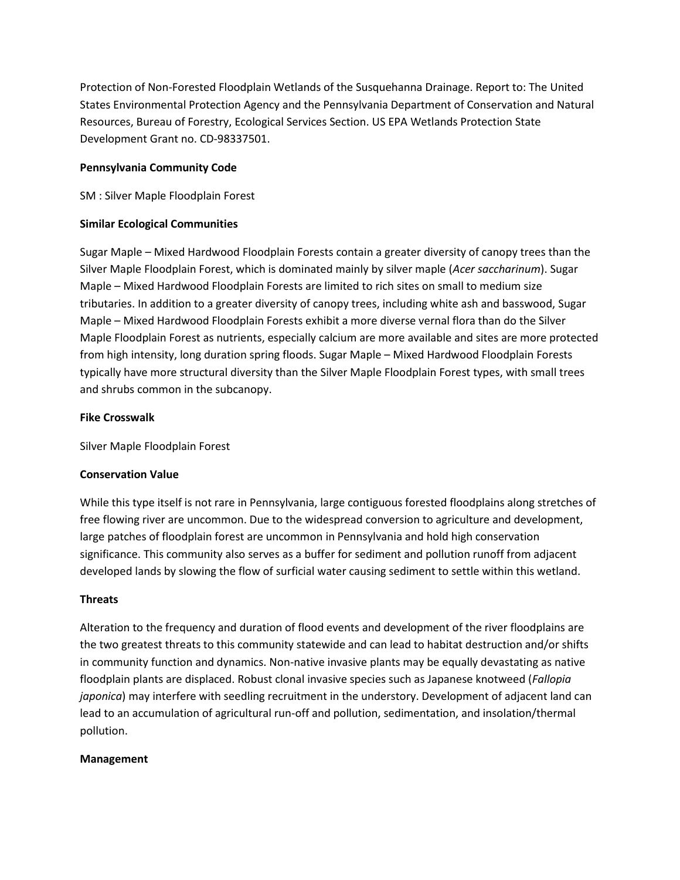Protection of Non-Forested Floodplain Wetlands of the Susquehanna Drainage. Report to: The United States Environmental Protection Agency and the Pennsylvania Department of Conservation and Natural Resources, Bureau of Forestry, Ecological Services Section. US EPA Wetlands Protection State Development Grant no. CD-98337501.

## **Pennsylvania Community Code**

SM : Silver Maple Floodplain Forest

## **Similar Ecological Communities**

Sugar Maple – Mixed Hardwood Floodplain Forests contain a greater diversity of canopy trees than the Silver Maple Floodplain Forest, which is dominated mainly by silver maple (*Acer saccharinum*). Sugar Maple – Mixed Hardwood Floodplain Forests are limited to rich sites on small to medium size tributaries. In addition to a greater diversity of canopy trees, including white ash and basswood, Sugar Maple – Mixed Hardwood Floodplain Forests exhibit a more diverse vernal flora than do the Silver Maple Floodplain Forest as nutrients, especially calcium are more available and sites are more protected from high intensity, long duration spring floods. Sugar Maple – Mixed Hardwood Floodplain Forests typically have more structural diversity than the Silver Maple Floodplain Forest types, with small trees and shrubs common in the subcanopy.

## **Fike Crosswalk**

Silver Maple Floodplain Forest

# **Conservation Value**

While this type itself is not rare in Pennsylvania, large contiguous forested floodplains along stretches of free flowing river are uncommon. Due to the widespread conversion to agriculture and development, large patches of floodplain forest are uncommon in Pennsylvania and hold high conservation significance. This community also serves as a buffer for sediment and pollution runoff from adjacent developed lands by slowing the flow of surficial water causing sediment to settle within this wetland.

## **Threats**

Alteration to the frequency and duration of flood events and development of the river floodplains are the two greatest threats to this community statewide and can lead to habitat destruction and/or shifts in community function and dynamics. Non-native invasive plants may be equally devastating as native floodplain plants are displaced. Robust clonal invasive species such as Japanese knotweed (*Fallopia japonica*) may interfere with seedling recruitment in the understory. Development of adjacent land can lead to an accumulation of agricultural run-off and pollution, sedimentation, and insolation/thermal pollution.

## **Management**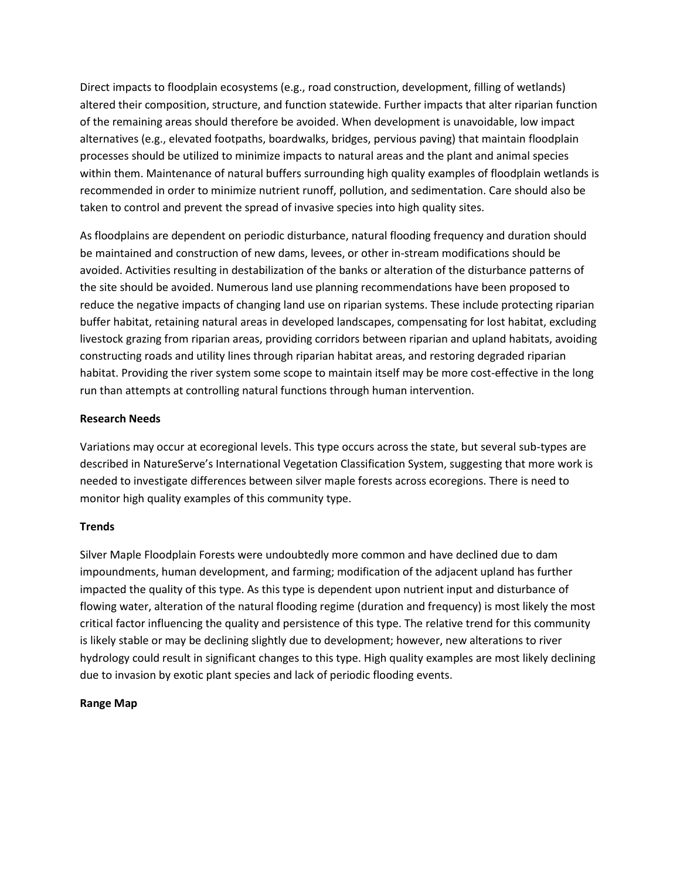Direct impacts to floodplain ecosystems (e.g., road construction, development, filling of wetlands) altered their composition, structure, and function statewide. Further impacts that alter riparian function of the remaining areas should therefore be avoided. When development is unavoidable, low impact alternatives (e.g., elevated footpaths, boardwalks, bridges, pervious paving) that maintain floodplain processes should be utilized to minimize impacts to natural areas and the plant and animal species within them. Maintenance of natural buffers surrounding high quality examples of floodplain wetlands is recommended in order to minimize nutrient runoff, pollution, and sedimentation. Care should also be taken to control and prevent the spread of invasive species into high quality sites.

As floodplains are dependent on periodic disturbance, natural flooding frequency and duration should be maintained and construction of new dams, levees, or other in-stream modifications should be avoided. Activities resulting in destabilization of the banks or alteration of the disturbance patterns of the site should be avoided. Numerous land use planning recommendations have been proposed to reduce the negative impacts of changing land use on riparian systems. These include protecting riparian buffer habitat, retaining natural areas in developed landscapes, compensating for lost habitat, excluding livestock grazing from riparian areas, providing corridors between riparian and upland habitats, avoiding constructing roads and utility lines through riparian habitat areas, and restoring degraded riparian habitat. Providing the river system some scope to maintain itself may be more cost-effective in the long run than attempts at controlling natural functions through human intervention.

## **Research Needs**

Variations may occur at ecoregional levels. This type occurs across the state, but several sub-types are described in NatureServe's International Vegetation Classification System, suggesting that more work is needed to investigate differences between silver maple forests across ecoregions. There is need to monitor high quality examples of this community type.

## **Trends**

Silver Maple Floodplain Forests were undoubtedly more common and have declined due to dam impoundments, human development, and farming; modification of the adjacent upland has further impacted the quality of this type. As this type is dependent upon nutrient input and disturbance of flowing water, alteration of the natural flooding regime (duration and frequency) is most likely the most critical factor influencing the quality and persistence of this type. The relative trend for this community is likely stable or may be declining slightly due to development; however, new alterations to river hydrology could result in significant changes to this type. High quality examples are most likely declining due to invasion by exotic plant species and lack of periodic flooding events.

## **Range Map**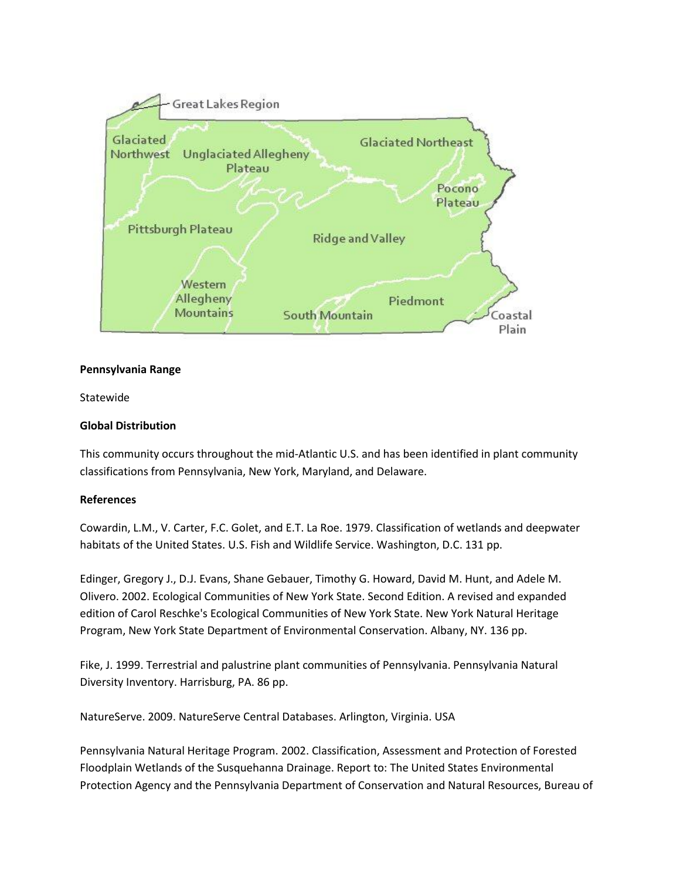

### **Pennsylvania Range**

Statewide

## **Global Distribution**

This community occurs throughout the mid-Atlantic U.S. and has been identified in plant community classifications from Pennsylvania, New York, Maryland, and Delaware.

#### **References**

Cowardin, L.M., V. Carter, F.C. Golet, and E.T. La Roe. 1979. Classification of wetlands and deepwater habitats of the United States. U.S. Fish and Wildlife Service. Washington, D.C. 131 pp.

Edinger, Gregory J., D.J. Evans, Shane Gebauer, Timothy G. Howard, David M. Hunt, and Adele M. Olivero. 2002. Ecological Communities of New York State. Second Edition. A revised and expanded edition of Carol Reschke's Ecological Communities of New York State. New York Natural Heritage Program, New York State Department of Environmental Conservation. Albany, NY. 136 pp.

Fike, J. 1999. Terrestrial and palustrine plant communities of Pennsylvania. Pennsylvania Natural Diversity Inventory. Harrisburg, PA. 86 pp.

NatureServe. 2009. NatureServe Central Databases. Arlington, Virginia. USA

Pennsylvania Natural Heritage Program. 2002. Classification, Assessment and Protection of Forested Floodplain Wetlands of the Susquehanna Drainage. Report to: The United States Environmental Protection Agency and the Pennsylvania Department of Conservation and Natural Resources, Bureau of